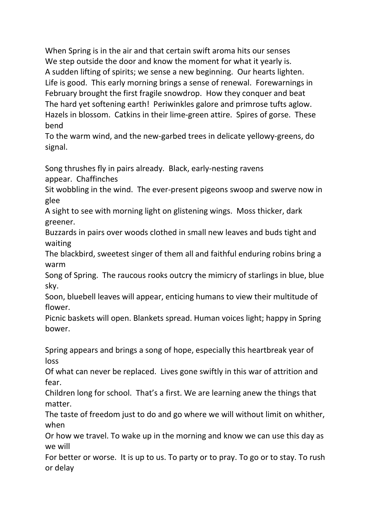When Spring is in the air and that certain swift aroma hits our senses We step outside the door and know the moment for what it yearly is. A sudden lifting of spirits; we sense a new beginning. Our hearts lighten. Life is good. This early morning brings a sense of renewal. Forewarnings in February brought the first fragile snowdrop. How they conquer and beat The hard yet softening earth! Periwinkles galore and primrose tufts aglow. Hazels in blossom. Catkins in their lime-green attire. Spires of gorse. These bend

To the warm wind, and the new-garbed trees in delicate yellowy-greens, do signal.

Song thrushes fly in pairs already. Black, early-nesting ravens appear. Chaffinches

Sit wobbling in the wind. The ever-present pigeons swoop and swerve now in glee

A sight to see with morning light on glistening wings. Moss thicker, dark greener.

Buzzards in pairs over woods clothed in small new leaves and buds tight and waiting

The blackbird, sweetest singer of them all and faithful enduring robins bring a warm

Song of Spring. The raucous rooks outcry the mimicry of starlings in blue, blue sky.

Soon, bluebell leaves will appear, enticing humans to view their multitude of flower.

Picnic baskets will open. Blankets spread. Human voices light; happy in Spring bower.

Spring appears and brings a song of hope, especially this heartbreak year of loss

Of what can never be replaced. Lives gone swiftly in this war of attrition and fear.

Children long for school. That's a first. We are learning anew the things that matter.

The taste of freedom just to do and go where we will without limit on whither, when

Or how we travel. To wake up in the morning and know we can use this day as we will

For better or worse. It is up to us. To party or to pray. To go or to stay. To rush or delay